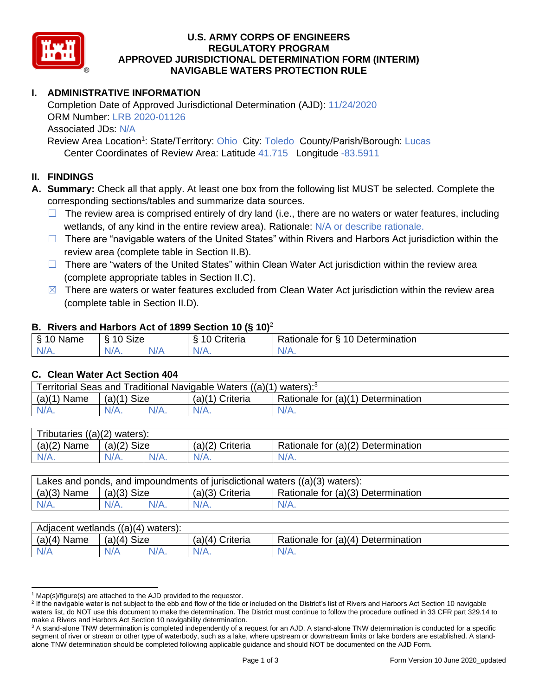

### **U.S. ARMY CORPS OF ENGINEERS REGULATORY PROGRAM APPROVED JURISDICTIONAL DETERMINATION FORM (INTERIM) NAVIGABLE WATERS PROTECTION RULE**

# **I. ADMINISTRATIVE INFORMATION**

Completion Date of Approved Jurisdictional Determination (AJD): 11/24/2020 ORM Number: LRB 2020-01126 Associated JDs: N/A Review Area Location<sup>1</sup>: State/Territory: Ohio City: Toledo County/Parish/Borough: Lucas

Center Coordinates of Review Area: Latitude 41.715 Longitude -83.5911

## **II. FINDINGS**

**A. Summary:** Check all that apply. At least one box from the following list MUST be selected. Complete the corresponding sections/tables and summarize data sources.

- $\Box$  The review area is comprised entirely of dry land (i.e., there are no waters or water features, including wetlands, of any kind in the entire review area). Rationale: N/A or describe rationale.
- $\Box$  There are "navigable waters of the United States" within Rivers and Harbors Act jurisdiction within the review area (complete table in Section II.B).
- $\Box$  There are "waters of the United States" within Clean Water Act jurisdiction within the review area (complete appropriate tables in Section II.C).
- $\boxtimes$  There are waters or water features excluded from Clean Water Act jurisdiction within the review area (complete table in Section II.D).

### **B. Rivers and Harbors Act of 1899 Section 10 (§ 10)**<sup>2</sup>

| $\cdot$          |                      |   |                                  |                                                      |  |
|------------------|----------------------|---|----------------------------------|------------------------------------------------------|--|
| S<br>$-$<br>Name | $\sim$<br>10<br>SIZE |   | .<br>۱O<br>-<br><i>∶</i> riteria | Determination<br>$\sqrt{ }$<br>-<br>tor<br>Rationale |  |
| $N/A$ .          | N/A.                 | . | N7<br>$\mathbf{v}$               | N/A.                                                 |  |

### **C. Clean Water Act Section 404**

| Territorial Seas and Traditional Navigable Waters ((a)(1) waters): $3$ |               |  |                   |                                    |  |
|------------------------------------------------------------------------|---------------|--|-------------------|------------------------------------|--|
| (a)(1)<br>Name                                                         | $(a)(1)$ Size |  | $(a)(1)$ Criteria | Rationale for (a)(1) Determination |  |
|                                                                        | $N/A$ .       |  | $N/A$ .           | $N/A$ .                            |  |

| Tributaries,<br>$((a)(2)$ waters): |                       |  |                    |                                    |  |  |
|------------------------------------|-----------------------|--|--------------------|------------------------------------|--|--|
| (a)(2)<br>Name                     | <b>Size</b><br>(a)(2) |  | (a)(2)<br>Criteria | Rationale for (a)(2) Determination |  |  |
| $N/A$ .                            | $N/A$ .               |  | $N/A$ .            | N/A.                               |  |  |

| Lakes and ponds, and impoundments of jurisdictional waters $((a)(3)$ waters): |               |         |                   |                                    |  |
|-------------------------------------------------------------------------------|---------------|---------|-------------------|------------------------------------|--|
| $(a)(3)$ Name                                                                 | $(a)(3)$ Size |         | $(a)(3)$ Criteria | Rationale for (a)(3) Determination |  |
| $N/A$ .                                                                       | $N/A$ .       | $N/A$ . | $N/A$ .           | $N/A$ .                            |  |

| Adjacent wetlands<br>((a)(4)<br>waters): |                       |         |                    |                                    |  |
|------------------------------------------|-----------------------|---------|--------------------|------------------------------------|--|
| (a)(4)<br>Name                           | <b>Size</b><br>(a)(4) |         | (a)(4)<br>Criteria | Rationale for (a)(4) Determination |  |
| N/A                                      | N/A                   | $N/A$ . | $N/A$ .            | $N/A$ .                            |  |

 $1$  Map(s)/figure(s) are attached to the AJD provided to the requestor.

<sup>&</sup>lt;sup>2</sup> If the navigable water is not subject to the ebb and flow of the tide or included on the District's list of Rivers and Harbors Act Section 10 navigable waters list, do NOT use this document to make the determination. The District must continue to follow the procedure outlined in 33 CFR part 329.14 to make a Rivers and Harbors Act Section 10 navigability determination.

<sup>&</sup>lt;sup>3</sup> A stand-alone TNW determination is completed independently of a request for an AJD. A stand-alone TNW determination is conducted for a specific segment of river or stream or other type of waterbody, such as a lake, where upstream or downstream limits or lake borders are established. A standalone TNW determination should be completed following applicable guidance and should NOT be documented on the AJD Form.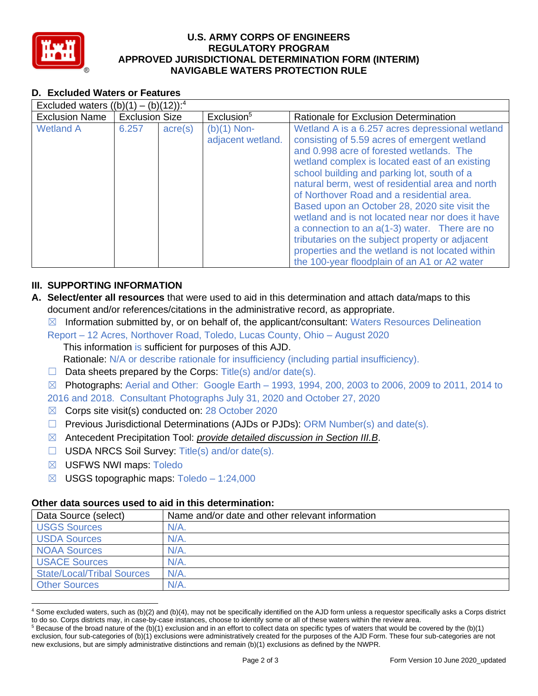

### **U.S. ARMY CORPS OF ENGINEERS REGULATORY PROGRAM APPROVED JURISDICTIONAL DETERMINATION FORM (INTERIM) NAVIGABLE WATERS PROTECTION RULE**

## **D. Excluded Waters or Features**

| Excluded waters $((b)(1) - (b)(12))$ : <sup>4</sup> |                       |                  |                                    |                                                                                                                                                                                                                                                                                                                                                                                                                                                                                                                                                                                                                                                              |  |
|-----------------------------------------------------|-----------------------|------------------|------------------------------------|--------------------------------------------------------------------------------------------------------------------------------------------------------------------------------------------------------------------------------------------------------------------------------------------------------------------------------------------------------------------------------------------------------------------------------------------------------------------------------------------------------------------------------------------------------------------------------------------------------------------------------------------------------------|--|
| <b>Exclusion Name</b>                               | <b>Exclusion Size</b> |                  | Exclusion <sup>5</sup>             | Rationale for Exclusion Determination                                                                                                                                                                                                                                                                                                                                                                                                                                                                                                                                                                                                                        |  |
| <b>Wetland A</b>                                    | 6.257                 | $\text{acre}(s)$ | $(b)(1)$ Non-<br>adjacent wetland. | Wetland A is a 6.257 acres depressional wetland<br>consisting of 5.59 acres of emergent wetland<br>and 0.998 acre of forested wetlands. The<br>wetland complex is located east of an existing<br>school building and parking lot, south of a<br>natural berm, west of residential area and north<br>of Northover Road and a residential area.<br>Based upon an October 28, 2020 site visit the<br>wetland and is not located near nor does it have<br>a connection to an $a(1-3)$ water. There are no<br>tributaries on the subject property or adjacent<br>properties and the wetland is not located within<br>the 100-year floodplain of an A1 or A2 water |  |

# **III. SUPPORTING INFORMATION**

- **A. Select/enter all resources** that were used to aid in this determination and attach data/maps to this document and/or references/citations in the administrative record, as appropriate.
	- $\boxtimes$  Information submitted by, or on behalf of, the applicant/consultant: Waters Resources Delineation
	- Report 12 Acres, Northover Road, Toledo, Lucas County, Ohio August 2020 This information is sufficient for purposes of this AJD. Rationale: N/A or describe rationale for insufficiency (including partial insufficiency).
	- $\Box$  Data sheets prepared by the Corps: Title(s) and/or date(s).
	- $\boxtimes$  Photographs: Aerial and Other: Google Earth 1993, 1994, 200, 2003 to 2006, 2009 to 2011, 2014 to
	- 2016 and 2018. Consultant Photographs July 31, 2020 and October 27, 2020
	- ☒ Corps site visit(s) conducted on: 28 October 2020
	- ☐ Previous Jurisdictional Determinations (AJDs or PJDs): ORM Number(s) and date(s).
	- ☒ Antecedent Precipitation Tool: *provide detailed discussion in Section III.B*.
	- ☐ USDA NRCS Soil Survey: Title(s) and/or date(s).
	- ☒ USFWS NWI maps: Toledo
	- $\boxtimes$  USGS topographic maps: Toledo 1:24,000

### **Other data sources used to aid in this determination:**

| Data Source (select)              | Name and/or date and other relevant information |
|-----------------------------------|-------------------------------------------------|
| <b>USGS Sources</b>               | $N/A$ .                                         |
| <b>USDA Sources</b>               | $N/A$ .                                         |
| <b>NOAA Sources</b>               | $N/A$ .                                         |
| <b>USACE Sources</b>              | $N/A$ .                                         |
| <b>State/Local/Tribal Sources</b> | $N/A$ .                                         |
| <b>Other Sources</b>              | $N/A$ .                                         |

<sup>4</sup> Some excluded waters, such as (b)(2) and (b)(4), may not be specifically identified on the AJD form unless a requestor specifically asks a Corps district to do so. Corps districts may, in case-by-case instances, choose to identify some or all of these waters within the review area.

 $5$  Because of the broad nature of the (b)(1) exclusion and in an effort to collect data on specific types of waters that would be covered by the (b)(1) exclusion, four sub-categories of (b)(1) exclusions were administratively created for the purposes of the AJD Form. These four sub-categories are not new exclusions, but are simply administrative distinctions and remain (b)(1) exclusions as defined by the NWPR.